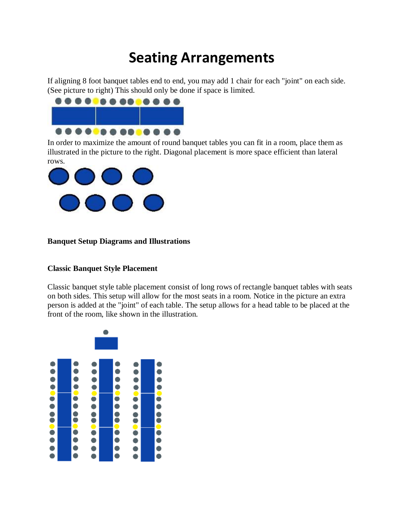# **Seating Arrangements**

If aligning 8 foot banquet tables end to end, you may add 1 chair for each "joint" on each side. (See picture to right) This should only be done if space is limited.



In order to maximize the amount of round banquet tables you can fit in a room, place them as illustrated in the picture to the right. Diagonal placement is more space efficient than lateral rows.



### **Banquet Setup Diagrams and Illustrations**

#### **Classic Banquet Style Placement**

Classic banquet style table placement consist of long rows of rectangle banquet tables with seats on both sides. This setup will allow for the most seats in a room. Notice in the picture an extra person is added at the "joint" of each table. The setup allows for a head table to be placed at the front of the room, like shown in the illustration.

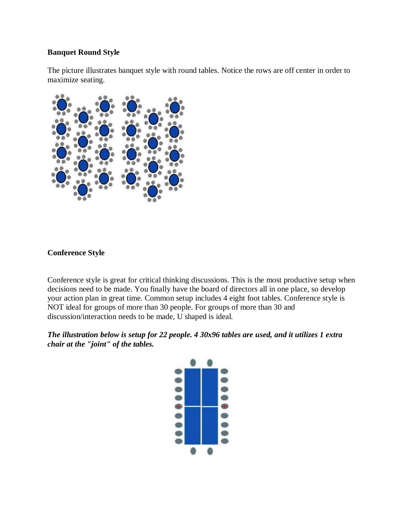#### **Banquet Round Style**

The picture illustrates banquet style with round tables. Notice the rows are off center in order to maximize seating.



## **Conference Style**

Conference style is great for critical thinking discussions. This is the most productive setup when decisions need to be made. You finally have the board of directors all in one place, so develop your action plan in great time. Common setup includes 4 eight foot tables. Conference style is NOT ideal for groups of more than 30 people. For groups of more than 30 and discussion/interaction needs to be made, U shaped is ideal.

## *The illustration below is setup for 22 people. 4 30x96 tables are used, and it utilizes 1 extra chair at the "joint" of the tables.*

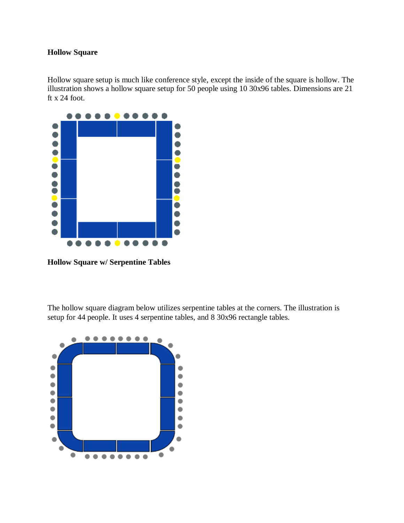## **Hollow Square**

Hollow square setup is much like conference style, except the inside of the square is hollow. The illustration shows a hollow square setup for 50 people using 10 30x96 tables. Dimensions are 21 ft x 24 foot.



**Hollow Square w/ Serpentine Tables**

The hollow square diagram below utilizes serpentine tables at the corners. The illustration is setup for 44 people. It uses 4 serpentine tables, and 8 30x96 rectangle tables.

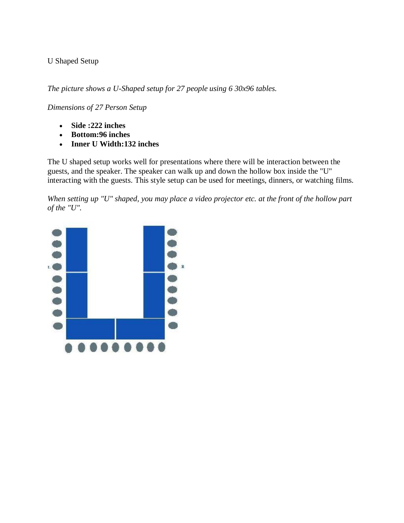## U Shaped Setup

*The picture shows a U-Shaped setup for 27 people using 6 30x96 tables.*

*Dimensions of 27 Person Setup*

- **Side :222 inches**
- **Bottom:96 inches**
- **Inner U Width:132 inches**

The U shaped setup works well for presentations where there will be interaction between the guests, and the speaker. The speaker can walk up and down the hollow box inside the "U" interacting with the guests. This style setup can be used for meetings, dinners, or watching films.

*When setting up "U" shaped, you may place a video projector etc. at the front of the hollow part of the "U".*

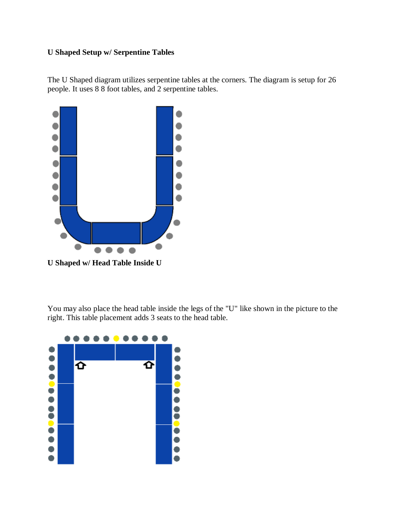## **U Shaped Setup w/ Serpentine Tables**

The U Shaped diagram utilizes serpentine tables at the corners. The diagram is setup for 26 people. It uses 8 8 foot tables, and 2 serpentine tables.



**U Shaped w/ Head Table Inside U**

You may also place the head table inside the legs of the "U" like shown in the picture to the right. This table placement adds 3 seats to the head table.

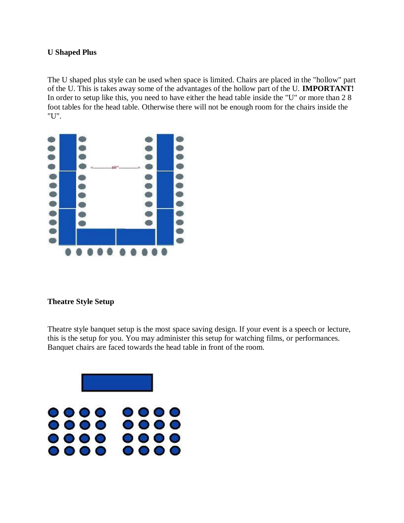### **U Shaped Plus**

The U shaped plus style can be used when space is limited. Chairs are placed in the "hollow" part of the U. This is takes away some of the advantages of the hollow part of the U. **IMPORTANT!**  In order to setup like this, you need to have either the head table inside the "U" or more than 2 8 foot tables for the head table. Otherwise there will not be enough room for the chairs inside the "U".



## **Theatre Style Setup**

Theatre style banquet setup is the most space saving design. If your event is a speech or lecture, this is the setup for you. You may administer this setup for watching films, or performances. Banquet chairs are faced towards the head table in front of the room.

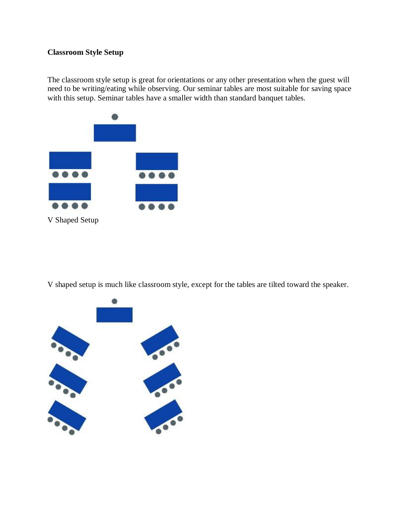## **Classroom Style Setup**

The classroom style setup is great for orientations or any other presentation when the guest will need to be writing/eating while observing. Our seminar tables are most suitable for saving space with this setup. Seminar tables have a smaller width than standard banquet tables.



V shaped setup is much like classroom style, except for the tables are tilted toward the speaker.

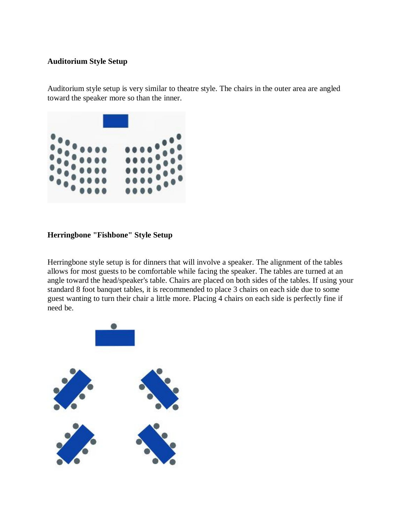#### **Auditorium Style Setup**

Auditorium style setup is very similar to theatre style. The chairs in the outer area are angled toward the speaker more so than the inner.



# **Herringbone "Fishbone" Style Setup**

Herringbone style setup is for dinners that will involve a speaker. The alignment of the tables allows for most guests to be comfortable while facing the speaker. The tables are turned at an angle toward the head/speaker's table. Chairs are placed on both sides of the tables. If using your standard 8 foot banquet tables, it is recommended to place 3 chairs on each side due to some guest wanting to turn their chair a little more. Placing 4 chairs on each side is perfectly fine if need be.